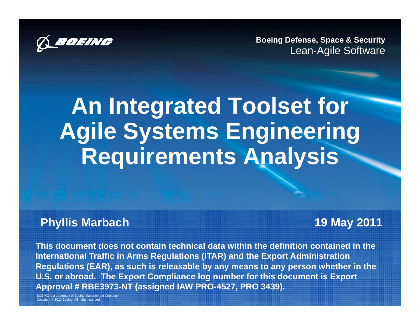

**Boeing Defense, Space & Security** Lean-Agile Software

# **An Integrated Toolset for Agile Systems Engineering Requirements Analysis**

#### **Phyllis Marbach 19 May 2011**

**This document does not contain technical data within the definition contained in the International Traffic in Arms Regulations (ITAR) and the Export Administration**  Regulations (EAR), as such is releasable by any means to any person whether in the **U.S. or abroad. The Export Compliance log number for this document is Export Approval # RBE3973-NT (assigned IAW PRO-4527, PRO 3439).**

**B** is a trademark of Boeing Management Company Copyright © 2010 Boeing. All rights reserved.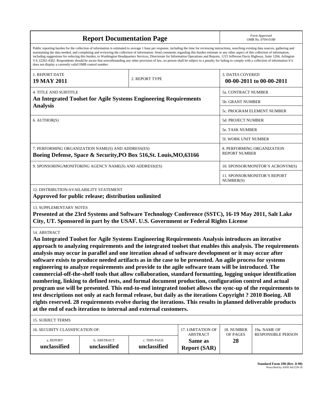| <b>Report Documentation Page</b>                                                                                                                                                                                                                                                                                                                                                                                                                                                                                                                                                                                                                                                                                                                                                                                                                                                                                                                                                                                                                                                                                                                                                                  |                             |                              |                                      |                             | Form Approved<br>OMB No. 0704-0188        |  |
|---------------------------------------------------------------------------------------------------------------------------------------------------------------------------------------------------------------------------------------------------------------------------------------------------------------------------------------------------------------------------------------------------------------------------------------------------------------------------------------------------------------------------------------------------------------------------------------------------------------------------------------------------------------------------------------------------------------------------------------------------------------------------------------------------------------------------------------------------------------------------------------------------------------------------------------------------------------------------------------------------------------------------------------------------------------------------------------------------------------------------------------------------------------------------------------------------|-----------------------------|------------------------------|--------------------------------------|-----------------------------|-------------------------------------------|--|
| Public reporting burden for the collection of information is estimated to average 1 hour per response, including the time for reviewing instructions, searching existing data sources, gathering and<br>maintaining the data needed, and completing and reviewing the collection of information. Send comments regarding this burden estimate or any other aspect of this collection of information,<br>including suggestions for reducing this burden, to Washington Headquarters Services, Directorate for Information Operations and Reports, 1215 Jefferson Davis Highway, Suite 1204, Arlington<br>VA 22202-4302. Respondents should be aware that notwithstanding any other provision of law, no person shall be subject to a penalty for failing to comply with a collection of information if it<br>does not display a currently valid OMB control number.                                                                                                                                                                                                                                                                                                                                |                             |                              |                                      |                             |                                           |  |
| 1. REPORT DATE<br><b>19 MAY 2011</b>                                                                                                                                                                                                                                                                                                                                                                                                                                                                                                                                                                                                                                                                                                                                                                                                                                                                                                                                                                                                                                                                                                                                                              |                             | 2. REPORT TYPE               |                                      | <b>3. DATES COVERED</b>     | 00-00-2011 to 00-00-2011                  |  |
| <b>4. TITLE AND SUBTITLE</b>                                                                                                                                                                                                                                                                                                                                                                                                                                                                                                                                                                                                                                                                                                                                                                                                                                                                                                                                                                                                                                                                                                                                                                      |                             |                              | 5a. CONTRACT NUMBER                  |                             |                                           |  |
| An Integrated Toolset for Agile Systems Engineering Requirements                                                                                                                                                                                                                                                                                                                                                                                                                                                                                                                                                                                                                                                                                                                                                                                                                                                                                                                                                                                                                                                                                                                                  |                             |                              |                                      | 5b. GRANT NUMBER            |                                           |  |
| <b>Analysis</b>                                                                                                                                                                                                                                                                                                                                                                                                                                                                                                                                                                                                                                                                                                                                                                                                                                                                                                                                                                                                                                                                                                                                                                                   |                             |                              |                                      |                             | 5c. PROGRAM ELEMENT NUMBER                |  |
| 6. AUTHOR(S)                                                                                                                                                                                                                                                                                                                                                                                                                                                                                                                                                                                                                                                                                                                                                                                                                                                                                                                                                                                                                                                                                                                                                                                      |                             |                              |                                      | <b>5d. PROJECT NUMBER</b>   |                                           |  |
|                                                                                                                                                                                                                                                                                                                                                                                                                                                                                                                                                                                                                                                                                                                                                                                                                                                                                                                                                                                                                                                                                                                                                                                                   |                             |                              |                                      | <b>5e. TASK NUMBER</b>      |                                           |  |
|                                                                                                                                                                                                                                                                                                                                                                                                                                                                                                                                                                                                                                                                                                                                                                                                                                                                                                                                                                                                                                                                                                                                                                                                   |                             |                              |                                      | <b>5f. WORK UNIT NUMBER</b> |                                           |  |
| 7. PERFORMING ORGANIZATION NAME(S) AND ADDRESS(ES)<br>Boeing Defense, Space & Security, PO Box 516, St. Louis, MO, 63166                                                                                                                                                                                                                                                                                                                                                                                                                                                                                                                                                                                                                                                                                                                                                                                                                                                                                                                                                                                                                                                                          |                             |                              |                                      | <b>REPORT NUMBER</b>        | 8. PERFORMING ORGANIZATION                |  |
| 9. SPONSORING/MONITORING AGENCY NAME(S) AND ADDRESS(ES)                                                                                                                                                                                                                                                                                                                                                                                                                                                                                                                                                                                                                                                                                                                                                                                                                                                                                                                                                                                                                                                                                                                                           |                             |                              |                                      |                             | 10. SPONSOR/MONITOR'S ACRONYM(S)          |  |
|                                                                                                                                                                                                                                                                                                                                                                                                                                                                                                                                                                                                                                                                                                                                                                                                                                                                                                                                                                                                                                                                                                                                                                                                   |                             |                              |                                      | NUMBER(S)                   | 11. SPONSOR/MONITOR'S REPORT              |  |
| 12. DISTRIBUTION/AVAILABILITY STATEMENT<br>Approved for public release; distribution unlimited                                                                                                                                                                                                                                                                                                                                                                                                                                                                                                                                                                                                                                                                                                                                                                                                                                                                                                                                                                                                                                                                                                    |                             |                              |                                      |                             |                                           |  |
| 13. SUPPLEMENTARY NOTES<br>Presented at the 23rd Systems and Software Technology Conference (SSTC), 16-19 May 2011, Salt Lake<br>City, UT. Sponsored in part by the USAF. U.S. Government or Federal Rights License                                                                                                                                                                                                                                                                                                                                                                                                                                                                                                                                                                                                                                                                                                                                                                                                                                                                                                                                                                               |                             |                              |                                      |                             |                                           |  |
| 14. ABSTRACT<br>An Integrated Toolset for Agile Systems Engineering Requirements Analysis introduces an iterative<br>approach to analyzing requirements and the integrated toolset that enables this analysis. The requirements<br>analysis may occur in parallel and one iteration ahead of software development or it may occur after<br>software exists to produce needed artifacts as in the case to be presented. An agile process for systems<br>engineering to analyze requirements and provide to the agile software team will be introduced. The<br>commercial-off-the-shelf tools that allow collaboration, standard formatting, logging unique identification<br>numbering, linking to defined tests, and formal document production, configuration control and actual<br>program use will be presented. This end-to-end integrated toolset allows the sync-up of the requirements to<br>test descriptions not only at each formal release, but daily as the iterations Copyright? 2010 Boeing. All<br>rights reserved. 28 requirements evolve during the iterations. This results in planned deliverable products<br>at the end of each iteration to internal and external customers. |                             |                              |                                      |                             |                                           |  |
| 15. SUBJECT TERMS                                                                                                                                                                                                                                                                                                                                                                                                                                                                                                                                                                                                                                                                                                                                                                                                                                                                                                                                                                                                                                                                                                                                                                                 |                             |                              |                                      |                             |                                           |  |
| 16. SECURITY CLASSIFICATION OF:                                                                                                                                                                                                                                                                                                                                                                                                                                                                                                                                                                                                                                                                                                                                                                                                                                                                                                                                                                                                                                                                                                                                                                   |                             |                              | 17. LIMITATION OF<br><b>ABSTRACT</b> | 18. NUMBER<br>OF PAGES      | 19a. NAME OF<br><b>RESPONSIBLE PERSON</b> |  |
| a. REPORT<br>unclassified                                                                                                                                                                                                                                                                                                                                                                                                                                                                                                                                                                                                                                                                                                                                                                                                                                                                                                                                                                                                                                                                                                                                                                         | b. ABSTRACT<br>unclassified | c. THIS PAGE<br>unclassified | Same as<br><b>Report (SAR)</b>       | 28                          |                                           |  |

**Standard Form 298 (Rev. 8-98)**<br>Prescribed by ANSI Std Z39-18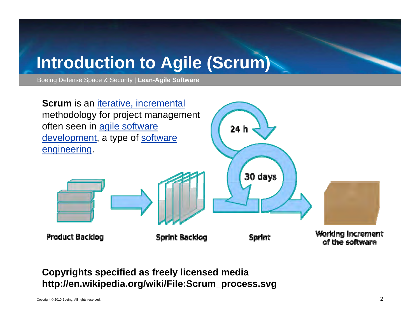## **Introduction to Agile (Scrum)**

Boeing Defense Space & Security | **Lean-Agile Software**



#### **Copyrights specified as freely licensed media http://en.wikipedia.org/wiki/File:Scrum\_process.svg**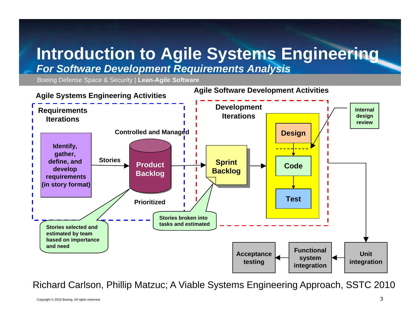### **lntroduction to Agile Systems Engineering** *For Software Development Requirements Analysis*

Boeing Defense Space & Security | **Lean-Agile Software**



Richard Carlson, Phillip Matzuc; A Viable Systems Engineering Approach, SSTC 2010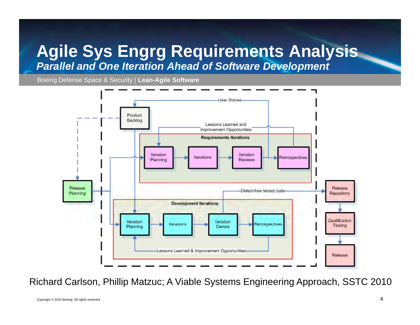### **Agile Sys Engrg Requirements Analysis g y gg q** *Parallel and One Iteration Ahead of Software Development*

Boeing Defense Space & Security | **Lean-Agile Software**



Richard Carlson, Phillip Matzuc; A Viable Systems Engineering Approach, SSTC 2010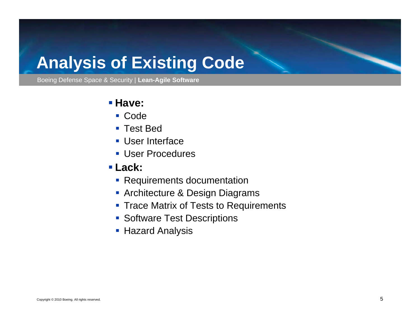### **Analysis of Existing Code**

Boeing Defense Space & Security | **Lean-Agile Software**

#### $\blacksquare$  **Have:**

- Code
- Test Bed
- User Interface
- User Procedures
- **Lack:**
	- Requirements documentation
	- Architecture & Design Diagrams
	- **Trace Matrix of Tests to Requirements**
	- **Software Test Descriptions**
	- Hazard Analysis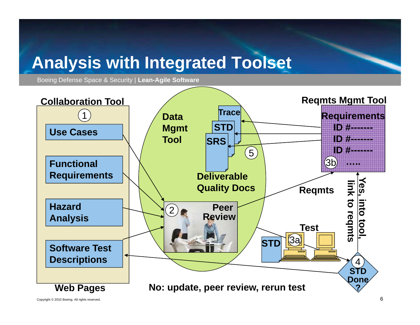### **Analysis with Integrated Toolset Integrated**

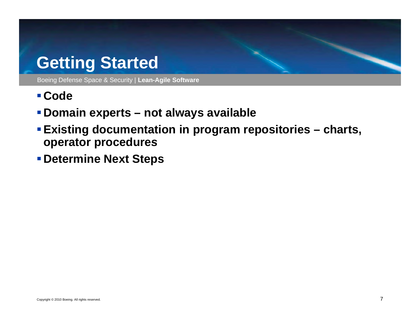### **Getting Started**

- **Code**
- **Domain experts – not always available**
- **Existing documentation in program repositories – charts, operator procedures**
- **Determine Next Steps**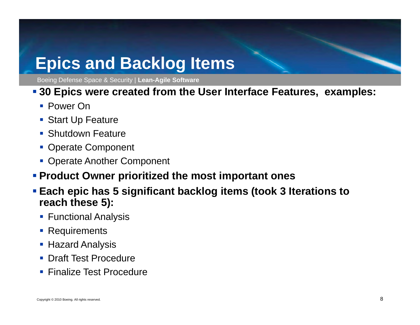### **Epics and Backlog Items**

Boeing Defense Space & Security | **Lean-Agile Software**

#### **30 Epics were created from the User Interface Features, examples:**

- Power On
- Start Up Feature
- **Shutdown Feature**
- Operate Component
- **Operate Another Component**
- **Product Owner prioritized the most important ones**
- **Each epic has 5 significant backlog items (took 3 Iterations to reach these 5):** 
	- **Functional Analysis**
	- **Requirements**
	- Hazard Analysis
	- **Draft Test Procedure**
	- **Finalize Test Procedure**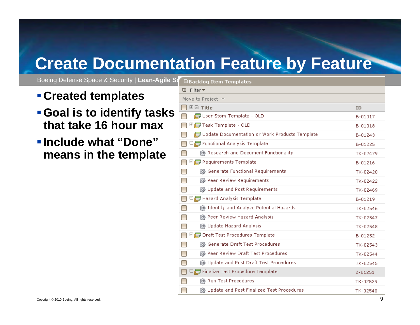### **Create Documentation Feature by Feature**

Boeing Defense Space & Security | Lean-Agile Song Backlon Item Templated

- **Created tem plates**
- **Goal is to identify tasks that take 16 hour max**
- **Include what "Done "means in the template**

| - DUCKIDY TWIN TWINPIULOS                               |          |
|---------------------------------------------------------|----------|
| <b>⊞</b> Filter▼                                        |          |
| Move to Project $\blacktriangledown$                    |          |
| ⊞⊟ Title                                                | ID       |
| User Story Template - OLD                               | B-01017  |
| ⊕最 Task Template - OLD                                  | B-01018  |
| Update Documentation or Work Products Template          | B-01243  |
| $\boxdot$ $\blacksquare$ Functional Analysis Template   | B-01225  |
| ® Research and Document Functionality                   | TK-02479 |
| $\boxdot$ Requirements Template                         | B-01216  |
| G Generate Functional Requirements                      | TK-02420 |
| @ Peer Review Requirements                              | TK-02422 |
| @ Update and Post Requirements                          | TK-02469 |
| $\boxdot$ $\blacksquare$ Hazard Analysis Template       | B-01219  |
| the Identify and Analyze Potential Hazards              | TK-02546 |
| @ Peer Review Hazard Analysis                           | TK-02547 |
| @ Update Hazard Analysis                                | TK-02548 |
| $\boxdot$ $\blacksquare$ Draft Test Procedures Template | B-01252  |
| @ Generate Draft Test Procedures                        | TK-02543 |
| මු Peer Review Draft Test Procedures                    | TK-02544 |
| @ Update and Post Draft Test Procedures                 | TK-02545 |
| $\boxdot$ $\boxdot$ Finalize Test Procedure Template    | B-01251  |
| @ Run Test Procedures                                   | TK-02539 |
| @ Update and Post Finalized Test Procedures             | TK-02540 |
|                                                         |          |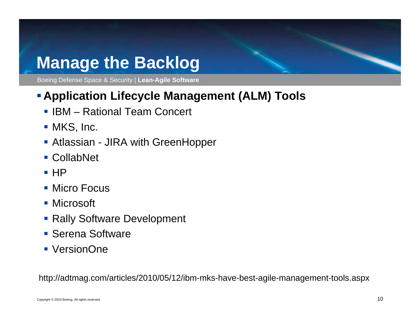### **Manage the Backlog Backlog**

Boeing Defense Space & Security | **Lean-Agile Software**

### **Application Lifec y g ( ) cle Mana gement (ALM ) Tools**

- **IBM Rational Team Concert**
- MKS, Inc.
- Atlassian JIRA with GreenHopper
- CollabNet
- HP I
- Micro Focus
- Microsoft
- Rally Software Development
- **Serena Software**
- VersionOne

http://adtmag.com/articles/2010/05/12/ibm-mks-have-best-agile-management-tools.aspx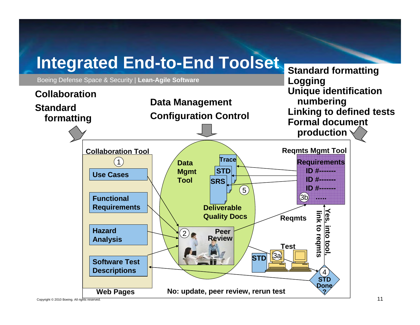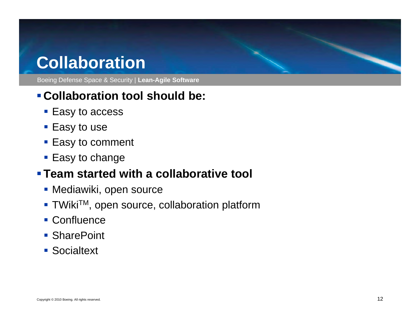### **Collaboration**

Boeing Defense Space & Security | **Lean-Agile Software**

### **Collaboration tool should be:**

- Easy to access
- **Easy to use**
- **Easy to comment**
- Easy to change

### **Team started with a collaborative tool**

- Mediawiki, open source
- TWiki<sup>TM</sup>, open source, collaboration platform
- Confluence
- SharePoint
- **Socialtext**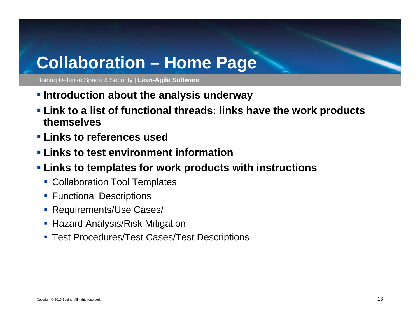### **Collaboration Home Page**

- **Introduction about the analy y sis underway**
- **Link to a list of functional threads: links have the work products themselves**
- **Links to references used**
- **Links to test environment information**
- **Links to templates for work products with instructions**
	- **Collaboration Tool Templates**
	- **Functional Descriptions**
	- **Requirements/Use Cases/**
	- **B** Hazard Analysis/Risk Mitigation
	- Test Procedures/Test Cases/Test Descriptions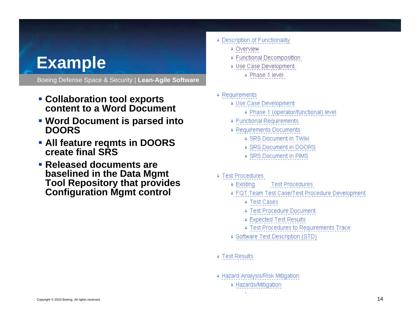### **Example**

- **Collaboration tool exports content to a Word Document**
- **Word Document is parsed into DOORS**
- **All feature reqmts in DOORS create final SRS**
- **Released documents are baselined in the Data Mgmt Tool Repository that provides Configuration Mgmt control**
- + Description of Functionality
	- + Overview
	- + Functional Decomposition
	- + Use Case Development + Phase 1 level
- $\sqrt{ }$  Requirements
	- + Use Case Development
		- + Phase 1 (operator/functional) level
	- ↓ Functional Requirements
	- ↓ Requirements Documents
		- + SRS Document in TWiki
		- ↓ SRS Document in DOORS
		- + SRS Document in PIMS
- ↓ Test Procedures
	- $\downarrow$  Existing **Test Procedures**
	- + FQT Team Test Case/Test Procedure Development
		- ↓ Test Cases
		- ↓ Test Procedure Document
		- ↓ Expected Test Results
		- + Test Procedures to Requirements Trace
	- + Software Test Description (STD)
- ↓ Test Results
- + Hazard Analysis/Risk Mitigation
	- ↓ Hazards/Mitigation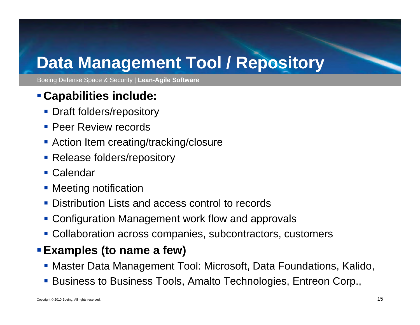## **Data Management Tool / Repository**

Boeing Defense Space & Security | **Lean-Agile Software**

### **Ca pabilities include:**

- **Draft folders/repository**
- **Peer Review records**
- **Action Item creating/tracking/closure**
- **Release folders/repository**
- Calendar
- **Meeting notification**
- **Distribution Lists and access control to records**
- Configuration Management work flow and approvals
- Collaboration across companies, subcontractors, customers

### **Examples (to name a few)**

- Master Data Management Tool: Microsoft, Data Foundations, Kalido,
- Business to Business Tools, Amalto Technologies, Entreon Corp.,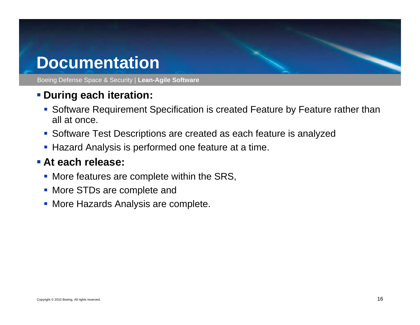### **Documentation**

Boeing Defense Space & Security | **Lean-Agile Software**

### **During each iteration:**

- Software Requirement Specification is created Feature by Feature rather than all at once.
- Software Test Descriptions are created as each feature is analyzed
- Hazard Analysis is performed one feature at a time.

#### **At each release:**

- **More features are complete within the SRS,**
- **More STDs are complete and**
- **More Hazards Analysis are complete.**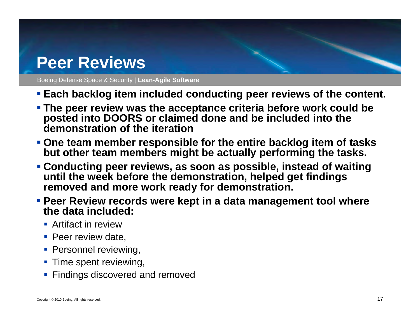### **Peer Reviews**

- **Each backlog item included conducting peer reviews of the content.**
- **The peer review was the acceptance criteria before work could be posted into DOORS or claimed done and be included into the demonstration of the iteration**
- **One team member responsible for the entire backlog item of tasks but other team members might be actually performing the tasks.**
- **Conducting peer reviews, as soon as possible, instead of waiting until the week before the demonstration, helped get findings removed and more work ready for demonstration.**
- **Peer Review records were kept in a data management tool where the data included:**
	- **-** Artifact in review
	- **Peer review date,**
	- **Personnel reviewing,**
	- **Time spent reviewing,**
	- **Findings discovered and removed**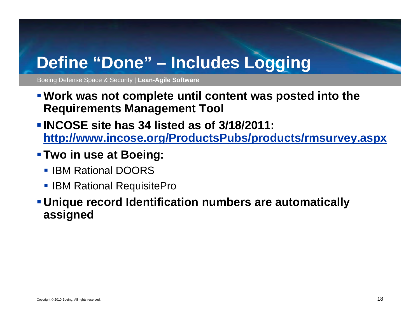## **Define "Done" Includes Logging Define –**

- **P** Work was not complete until content was posted into the **Requirements Management Tool**
- **INCOSE site has 34 listed as of 3/18/2011:**  http://www.incose.org/ProductsPubs/products/rmsurvey.aspx
- **Two in use at Boeing:** 
	- **IBM Rational DOORS**
	- **BM Rational RequisitePro**
- **Unique record Identification numbers are automatically assigned**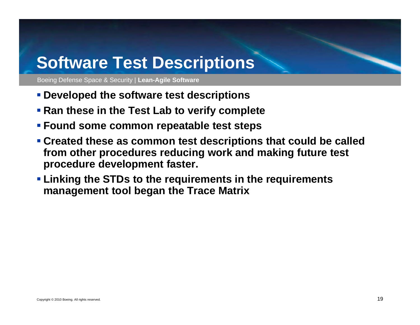### **Software Test Descriptions**

- **P** Developed the software test descriptions
- **Ran these in the Test Lab to verify complete**
- **Found some common repeatable test steps**
- **Created these as common test descriptions that could be called could from other procedures reducing work and making future test procedure development faster.**
- **Linking the STDs to the requirements in the requirements management tool began the Trace Matrix**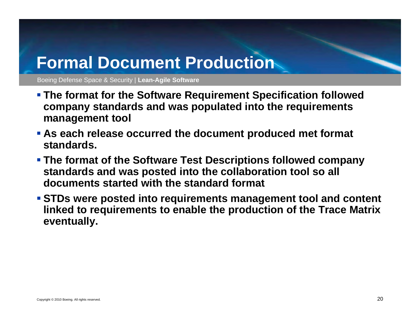### **Formal Document Production**

- **Example 3 In 2018 The Software Requirement Specification followed <b>Propellenge 3 company standards and was populated into the requirements management tool**
- **As each release occurred the document produced met format st dd an dards.**
- **The format of the Software Test Descriptions followed company standards and was posted into the collaboration tool so all documents started with the standard format**
- **STDs were posted into requirements management tool and content linked to requirements to enable the production of the Trace Matrix eventually.**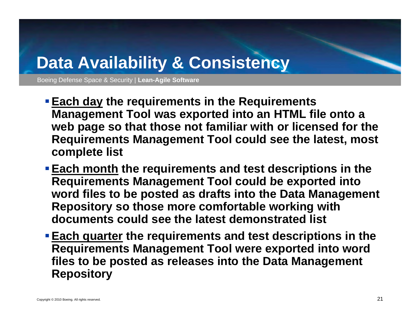## **Data Availability & Consistency**

- **Each day the requirements in the Requirements Management Tool was exported into an HTML file onto a web page so that those not familiar with or licensed for the Requirements Management Tool could see the latest, most complete list**
- **Each month the requirements and test descriptions in the Requirements Management Tool could be exported into exported word files to be posted as drafts into the Data Management Repository so those more comfortable working with documents could see the latest demonstrated list**
- **Each quarter the requirements and test descriptions in the Requirements Management Tool were exported into word files to be posted as releases into the Data Management Repository**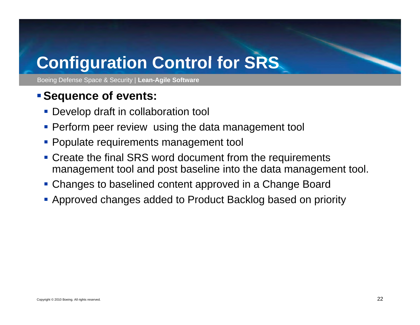## **Configuration Control for SRS for SRS**

Boeing Defense Space & Security | **Lean-Agile Software**

### **Se quence of events:**

- **Develop draft in collaboration tool**
- **Perform peer review using the data management tool**
- **Populate requirements management tool**
- **Create the final SRS word document from the requirements** management tool and post baseline into the data management tool.
- Changes to baselined content approved in <sup>a</sup> Change Board
- Approved changes added to Product Backlog based on priority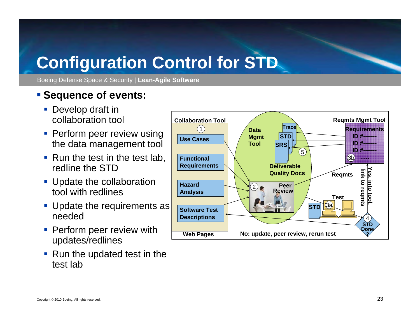## **Configuration Control for STD for**

Boeing Defense Space & Security | **Lean-Agile Software**

### **Example 2 Sequence of events:**

- **Develop draft in** collaboration tool
- **Perform peer review using** the data management tool
- Run the test in the test lab, redline the STD
- **Update the collaboration** tool with redlines
- Update the requirements as needed
- **Perform peer review with** updates/redlines
- Run the updated test in the test lab

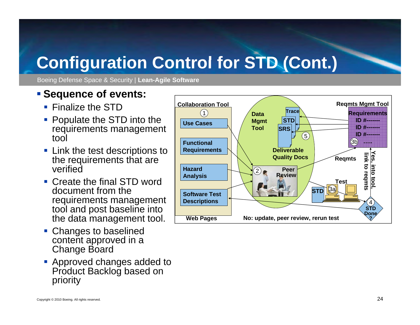## **Configuration Control for STD (Cont ) Control for (Cont .**

Boeing Defense Space & Security | **Lean-Agile Software**

#### **Sequence of events:**

- **Finalize the STD**
- Populate the STD into the requirements management tool
- **Example 1 Link the test descriptions to** the requirements that are verified
- Create the final STD word document from the requirements management tool and post baseline into the data management tool.
- Changes to baselined content approved in a Change Board
- **Approved changes added to** Product Backlog based on priority

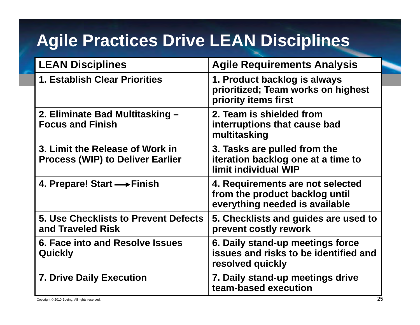## **Agile Practices Drive LEAN Disciplines**

| <b>LEAN Disciplines</b>                                                    | <b>Agile Requirements Analysis</b>                                                                   |  |
|----------------------------------------------------------------------------|------------------------------------------------------------------------------------------------------|--|
| <b>1. Establish Clear Priorities</b>                                       | 1. Product backlog is always<br>prioritized; Team works on highest<br>priority items first           |  |
| 2. Eliminate Bad Multitasking -<br><b>Focus and Finish</b>                 | 2. Team is shielded from<br>interruptions that cause bad<br>multitasking                             |  |
| 3. Limit the Release of Work in<br><b>Process (WIP) to Deliver Earlier</b> | 3. Tasks are pulled from the<br>iteration backlog one at a time to<br>limit individual WIP           |  |
| 4. Prepare! Start $\longrightarrow$ Finish                                 | 4. Requirements are not selected<br>from the product backlog until<br>everything needed is available |  |
| <b>5. Use Checklists to Prevent Defects</b><br>and Traveled Risk           | 5. Checklists and guides are used to<br>prevent costly rework                                        |  |
| 6. Face into and Resolve Issues<br>Quickly                                 | 6. Daily stand-up meetings force<br>issues and risks to be identified and<br>resolved quickly        |  |
| 7. Drive Daily Execution<br>Copyright © 2010 Boeing. All rights reserved.  | 7. Daily stand-up meetings drive<br>team-based execution<br>25                                       |  |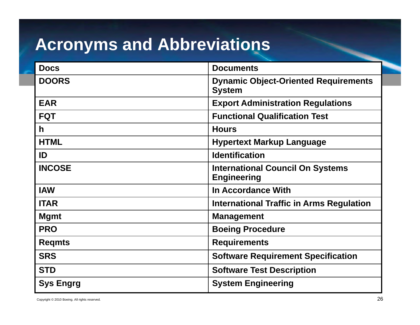## **Acronyms and Abbreviations**

| <b>Docs</b>      | <b>Documents</b>                                              |
|------------------|---------------------------------------------------------------|
| <b>DOORS</b>     | <b>Dynamic Object-Oriented Requirements</b><br><b>System</b>  |
| <b>EAR</b>       | <b>Export Administration Regulations</b>                      |
| <b>FQT</b>       | <b>Functional Qualification Test</b>                          |
| $\mathsf{h}$     | <b>Hours</b>                                                  |
| <b>HTML</b>      | <b>Hypertext Markup Language</b>                              |
| ID               | <b>Identification</b>                                         |
| <b>INCOSE</b>    | <b>International Council On Systems</b><br><b>Engineering</b> |
| <b>IAW</b>       | In Accordance With                                            |
| <b>ITAR</b>      | <b>International Traffic in Arms Regulation</b>               |
| <b>Mgmt</b>      | <b>Management</b>                                             |
| <b>PRO</b>       | <b>Boeing Procedure</b>                                       |
| <b>Regmts</b>    | <b>Requirements</b>                                           |
| <b>SRS</b>       | <b>Software Requirement Specification</b>                     |
| <b>STD</b>       | <b>Software Test Description</b>                              |
| <b>Sys Engrg</b> | <b>System Engineering</b>                                     |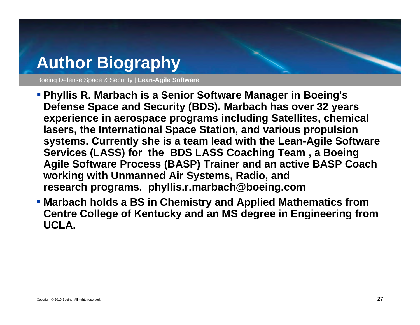## **Author Biography**

- **Phy g llis R. Marbach is a Senior Software Manager in Boeing's Defense Space and Security (BDS). Marbach has over 32 years experience in aerospace programs including Satellites, chemical lasers, the International Space Station, and various propulsion**  systems. Currently she is a team lead with the Lean-Agile Software **Services (LASS) for the BDS LASS Coaching Team , a Boeing Agile Software Process (BASP) Trainer and an active BASP Coach working with Unmanned Air Systems, Radio, and research programs. phyllis.r.marbach@boeing.com**
- **Marbach holds a BS in Chemistry and Applied Mathematics from Centre College of Kentucky and an MS degree in Engineering from UCLA.**